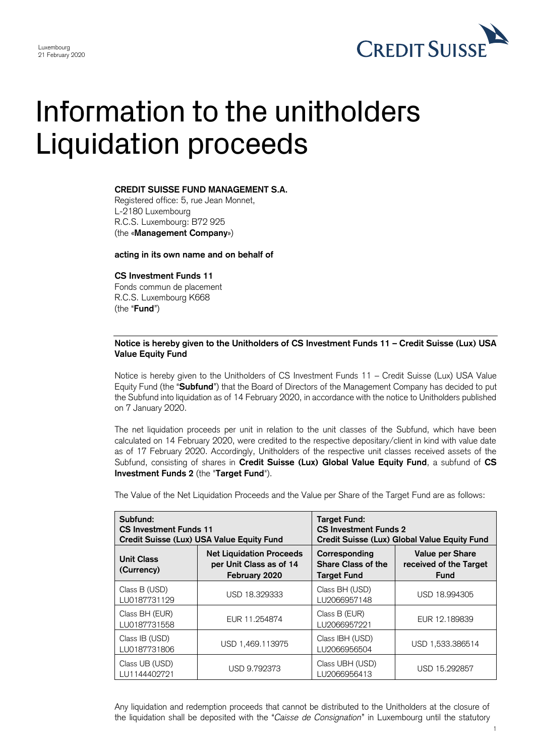

## Information to the unitholders Liquidation proceeds

## **CREDIT SUISSE FUND MANAGEMENT S.A.**

Registered office: 5, rue Jean Monnet, L-2180 Luxembourg R.C.S. Luxembourg: B72 925 (the «**Management Company**»)

**acting in its own name and on behalf of**

**CS Investment Funds 11**

Fonds commun de placement R.C.S. Luxembourg K668 (the "**Fund**")

## **Notice is hereby given to the Unitholders of CS Investment Funds 11 – Credit Suisse (Lux) USA Value Equity Fund**

Notice is hereby given to the Unitholders of CS Investment Funds 11 – Credit Suisse (Lux) USA Value Equity Fund (the "**Subfund**") that the Board of Directors of the Management Company has decided to put the Subfund into liquidation as of 14 February 2020, in accordance with the notice to Unitholders published on 7 January 2020.

The net liquidation proceeds per unit in relation to the unit classes of the Subfund, which have been calculated on 14 February 2020, were credited to the respective depositary/client in kind with value date as of 17 February 2020. Accordingly, Unitholders of the respective unit classes received assets of the Subfund, consisting of shares in **Credit Suisse (Lux) Global Value Equity Fund**, a subfund of **CS Investment Funds 2** (the "**Target Fund**").

The Value of the Net Liquidation Proceeds and the Value per Share of the Target Fund are as follows:

| Subfund:<br><b>CS Investment Funds 11</b><br>Credit Suisse (Lux) USA Value Equity Fund |                                                                             | <b>Target Fund:</b><br><b>CS Investment Funds 2</b><br>Credit Suisse (Lux) Global Value Equity Fund |                                                                 |
|----------------------------------------------------------------------------------------|-----------------------------------------------------------------------------|-----------------------------------------------------------------------------------------------------|-----------------------------------------------------------------|
| <b>Unit Class</b><br>(Currency)                                                        | <b>Net Liquidation Proceeds</b><br>per Unit Class as of 14<br>February 2020 | Corresponding<br><b>Share Class of the</b><br><b>Target Fund</b>                                    | <b>Value per Share</b><br>received of the Target<br><b>Fund</b> |
| Class B (USD)<br>LU0187731129                                                          | USD 18.329333                                                               | Class BH (USD)<br>LU2066957148                                                                      | USD 18.994305                                                   |
| Class BH (EUR)<br>LU0187731558                                                         | EUR 11.254874                                                               | Class B (EUR)<br>LU2066957221                                                                       | EUR 12,189839                                                   |
| Class IB (USD)<br>LU0187731806                                                         | USD 1,469.113975                                                            | Class IBH (USD)<br>LU2066956504                                                                     | USD 1,533.386514                                                |
| Class UB (USD)<br>LU1144402721                                                         | USD 9.792373                                                                | Class UBH (USD)<br>LU2066956413                                                                     | USD 15.292857                                                   |

Any liquidation and redemption proceeds that cannot be distributed to the Unitholders at the closure of the liquidation shall be deposited with the "*Caisse de Consignation*" in Luxembourg until the statutory